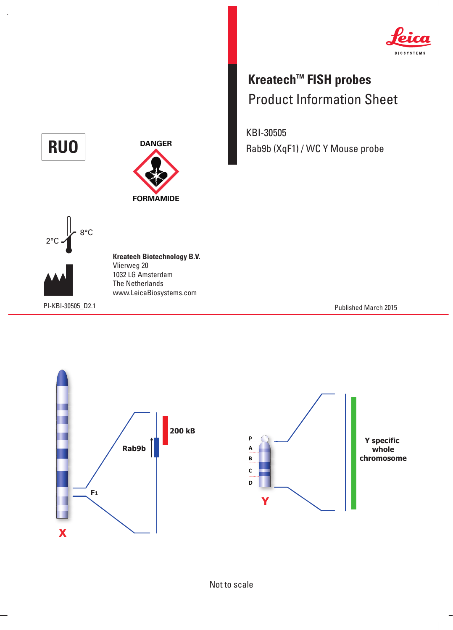

 $\mathbf{L}$ 

## **Kreatech™ FISH probes** Product Information Sheet

KBI-30505 **RUO** DANGER Rab9b (XqF1) / WC Y Mouse probe



Ш.







 $\begin{array}{c} \hline \end{array}$ 

**Kreatech Biotechnology B.V.** Vlierweg 20 1032 LG Amsterdam The Netherlands www.LeicaBiosystems.com

PI-KBI-30505\_D2.1 Published March 2015